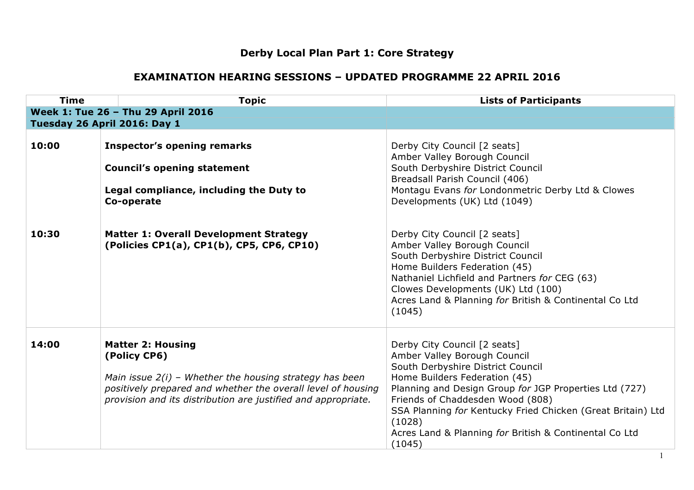## **Derby Local Plan Part 1: Core Strategy**

## **EXAMINATION HEARING SESSIONS – UPDATED PROGRAMME 22 APRIL 2016**

| <b>Time</b>                        | <b>Topic</b>                                                                                                                                                                                                                           | <b>Lists of Participants</b>                                                                                                                                                                                                                                                                                                                                                  |  |  |
|------------------------------------|----------------------------------------------------------------------------------------------------------------------------------------------------------------------------------------------------------------------------------------|-------------------------------------------------------------------------------------------------------------------------------------------------------------------------------------------------------------------------------------------------------------------------------------------------------------------------------------------------------------------------------|--|--|
| Week 1: Tue 26 - Thu 29 April 2016 |                                                                                                                                                                                                                                        |                                                                                                                                                                                                                                                                                                                                                                               |  |  |
|                                    | Tuesday 26 April 2016: Day 1                                                                                                                                                                                                           |                                                                                                                                                                                                                                                                                                                                                                               |  |  |
| 10:00                              | <b>Inspector's opening remarks</b><br><b>Council's opening statement</b><br>Legal compliance, including the Duty to<br>Co-operate                                                                                                      | Derby City Council [2 seats]<br>Amber Valley Borough Council<br>South Derbyshire District Council<br>Breadsall Parish Council (406)<br>Montagu Evans for Londonmetric Derby Ltd & Clowes<br>Developments (UK) Ltd (1049)                                                                                                                                                      |  |  |
| 10:30                              | <b>Matter 1: Overall Development Strategy</b><br>(Policies CP1(a), CP1(b), CP5, CP6, CP10)                                                                                                                                             | Derby City Council [2 seats]<br>Amber Valley Borough Council<br>South Derbyshire District Council<br>Home Builders Federation (45)<br>Nathaniel Lichfield and Partners for CEG (63)<br>Clowes Developments (UK) Ltd (100)<br>Acres Land & Planning for British & Continental Co Ltd<br>(1045)                                                                                 |  |  |
| 14:00                              | <b>Matter 2: Housing</b><br>(Policy CP6)<br>Main issue $2(i)$ – Whether the housing strategy has been<br>positively prepared and whether the overall level of housing<br>provision and its distribution are justified and appropriate. | Derby City Council [2 seats]<br>Amber Valley Borough Council<br>South Derbyshire District Council<br>Home Builders Federation (45)<br>Planning and Design Group for JGP Properties Ltd (727)<br>Friends of Chaddesden Wood (808)<br>SSA Planning for Kentucky Fried Chicken (Great Britain) Ltd<br>(1028)<br>Acres Land & Planning for British & Continental Co Ltd<br>(1045) |  |  |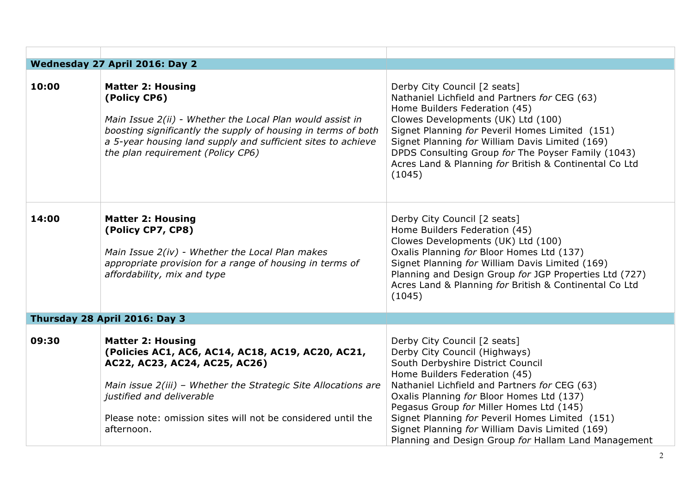| Wednesday 27 April 2016: Day 2 |                                                                                                                                                                                                                                                                                             |                                                                                                                                                                                                                                                                                                                                                                                                                                             |  |  |
|--------------------------------|---------------------------------------------------------------------------------------------------------------------------------------------------------------------------------------------------------------------------------------------------------------------------------------------|---------------------------------------------------------------------------------------------------------------------------------------------------------------------------------------------------------------------------------------------------------------------------------------------------------------------------------------------------------------------------------------------------------------------------------------------|--|--|
| 10:00                          | <b>Matter 2: Housing</b><br>(Policy CP6)<br>Main Issue 2(ii) - Whether the Local Plan would assist in<br>boosting significantly the supply of housing in terms of both<br>a 5-year housing land supply and sufficient sites to achieve<br>the plan requirement (Policy CP6)                 | Derby City Council [2 seats]<br>Nathaniel Lichfield and Partners for CEG (63)<br>Home Builders Federation (45)<br>Clowes Developments (UK) Ltd (100)<br>Signet Planning for Peveril Homes Limited (151)<br>Signet Planning for William Davis Limited (169)<br>DPDS Consulting Group for The Poyser Family (1043)<br>Acres Land & Planning for British & Continental Co Ltd<br>(1045)                                                        |  |  |
| 14:00                          | <b>Matter 2: Housing</b><br>(Policy CP7, CP8)<br>Main Issue 2(iv) - Whether the Local Plan makes<br>appropriate provision for a range of housing in terms of<br>affordability, mix and type                                                                                                 | Derby City Council [2 seats]<br>Home Builders Federation (45)<br>Clowes Developments (UK) Ltd (100)<br>Oxalis Planning for Bloor Homes Ltd (137)<br>Signet Planning for William Davis Limited (169)<br>Planning and Design Group for JGP Properties Ltd (727)<br>Acres Land & Planning for British & Continental Co Ltd<br>(1045)                                                                                                           |  |  |
|                                | Thursday 28 April 2016: Day 3                                                                                                                                                                                                                                                               |                                                                                                                                                                                                                                                                                                                                                                                                                                             |  |  |
| 09:30                          | <b>Matter 2: Housing</b><br>(Policies AC1, AC6, AC14, AC18, AC19, AC20, AC21,<br>AC22, AC23, AC24, AC25, AC26)<br>Main issue 2(iii) - Whether the Strategic Site Allocations are<br>justified and deliverable<br>Please note: omission sites will not be considered until the<br>afternoon. | Derby City Council [2 seats]<br>Derby City Council (Highways)<br>South Derbyshire District Council<br>Home Builders Federation (45)<br>Nathaniel Lichfield and Partners for CEG (63)<br>Oxalis Planning for Bloor Homes Ltd (137)<br>Pegasus Group for Miller Homes Ltd (145)<br>Signet Planning for Peveril Homes Limited (151)<br>Signet Planning for William Davis Limited (169)<br>Planning and Design Group for Hallam Land Management |  |  |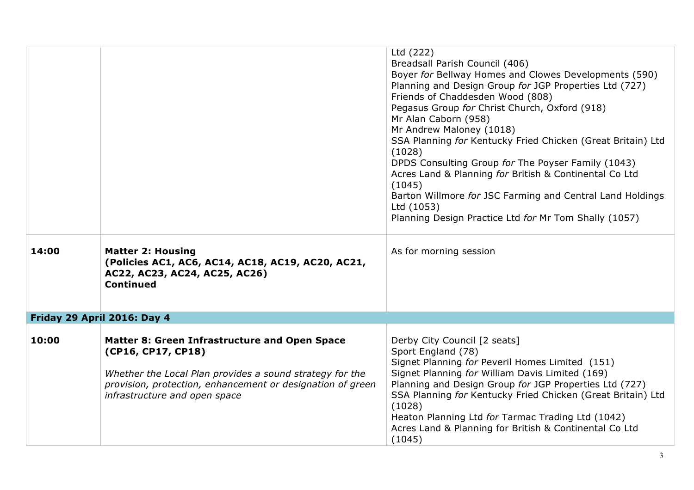| 14:00 | <b>Matter 2: Housing</b>                                                                                                                                                                                                       | Ltd (222)<br>Breadsall Parish Council (406)<br>Boyer for Bellway Homes and Clowes Developments (590)<br>Planning and Design Group for JGP Properties Ltd (727)<br>Friends of Chaddesden Wood (808)<br>Pegasus Group for Christ Church, Oxford (918)<br>Mr Alan Caborn (958)<br>Mr Andrew Maloney (1018)<br>SSA Planning for Kentucky Fried Chicken (Great Britain) Ltd<br>(1028)<br>DPDS Consulting Group for The Poyser Family (1043)<br>Acres Land & Planning for British & Continental Co Ltd<br>(1045)<br>Barton Willmore for JSC Farming and Central Land Holdings<br>Ltd (1053)<br>Planning Design Practice Ltd for Mr Tom Shally (1057)<br>As for morning session |
|-------|--------------------------------------------------------------------------------------------------------------------------------------------------------------------------------------------------------------------------------|--------------------------------------------------------------------------------------------------------------------------------------------------------------------------------------------------------------------------------------------------------------------------------------------------------------------------------------------------------------------------------------------------------------------------------------------------------------------------------------------------------------------------------------------------------------------------------------------------------------------------------------------------------------------------|
|       | (Policies AC1, AC6, AC14, AC18, AC19, AC20, AC21,<br>AC22, AC23, AC24, AC25, AC26)<br><b>Continued</b>                                                                                                                         |                                                                                                                                                                                                                                                                                                                                                                                                                                                                                                                                                                                                                                                                          |
|       | Friday 29 April 2016: Day 4                                                                                                                                                                                                    |                                                                                                                                                                                                                                                                                                                                                                                                                                                                                                                                                                                                                                                                          |
| 10:00 | Matter 8: Green Infrastructure and Open Space<br>(CP16, CP17, CP18)<br>Whether the Local Plan provides a sound strategy for the<br>provision, protection, enhancement or designation of green<br>infrastructure and open space | Derby City Council [2 seats]<br>Sport England (78)<br>Signet Planning for Peveril Homes Limited (151)<br>Signet Planning for William Davis Limited (169)<br>Planning and Design Group for JGP Properties Ltd (727)<br>SSA Planning for Kentucky Fried Chicken (Great Britain) Ltd<br>(1028)<br>Heaton Planning Ltd for Tarmac Trading Ltd (1042)<br>Acres Land & Planning for British & Continental Co Ltd<br>(1045)                                                                                                                                                                                                                                                     |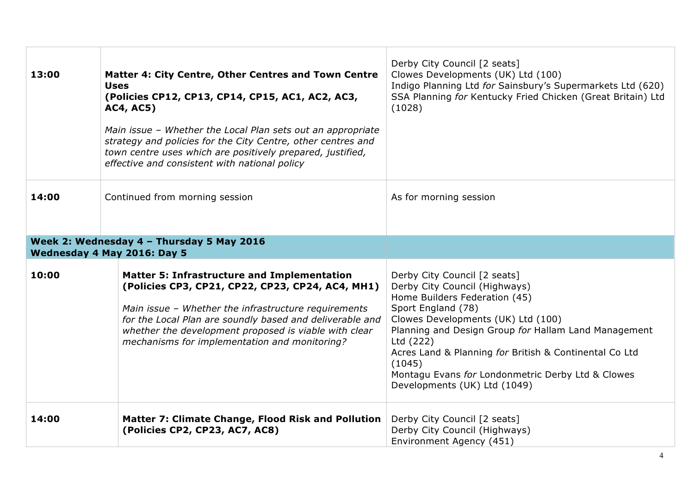| 13:00                                                                    | Matter 4: City Centre, Other Centres and Town Centre<br><b>Uses</b><br>(Policies CP12, CP13, CP14, CP15, AC1, AC2, AC3,<br><b>AC4, AC5)</b><br>Main issue - Whether the Local Plan sets out an appropriate<br>strategy and policies for the City Centre, other centres and<br>town centre uses which are positively prepared, justified,<br>effective and consistent with national policy | Derby City Council [2 seats]<br>Clowes Developments (UK) Ltd (100)<br>Indigo Planning Ltd for Sainsbury's Supermarkets Ltd (620)<br>SSA Planning for Kentucky Fried Chicken (Great Britain) Ltd<br>(1028)                                                                                                                                                                                |
|--------------------------------------------------------------------------|-------------------------------------------------------------------------------------------------------------------------------------------------------------------------------------------------------------------------------------------------------------------------------------------------------------------------------------------------------------------------------------------|------------------------------------------------------------------------------------------------------------------------------------------------------------------------------------------------------------------------------------------------------------------------------------------------------------------------------------------------------------------------------------------|
| 14:00                                                                    | Continued from morning session                                                                                                                                                                                                                                                                                                                                                            | As for morning session                                                                                                                                                                                                                                                                                                                                                                   |
| Week 2: Wednesday 4 - Thursday 5 May 2016<br>Wednesday 4 May 2016: Day 5 |                                                                                                                                                                                                                                                                                                                                                                                           |                                                                                                                                                                                                                                                                                                                                                                                          |
| 10:00                                                                    | <b>Matter 5: Infrastructure and Implementation</b><br>(Policies CP3, CP21, CP22, CP23, CP24, AC4, MH1)<br>Main issue - Whether the infrastructure requirements<br>for the Local Plan are soundly based and deliverable and<br>whether the development proposed is viable with clear<br>mechanisms for implementation and monitoring?                                                      | Derby City Council [2 seats]<br>Derby City Council (Highways)<br>Home Builders Federation (45)<br>Sport England (78)<br>Clowes Developments (UK) Ltd (100)<br>Planning and Design Group for Hallam Land Management<br>Ltd (222)<br>Acres Land & Planning for British & Continental Co Ltd<br>(1045)<br>Montagu Evans for Londonmetric Derby Ltd & Clowes<br>Developments (UK) Ltd (1049) |
| 14:00                                                                    | <b>Matter 7: Climate Change, Flood Risk and Pollution</b><br>(Policies CP2, CP23, AC7, AC8)                                                                                                                                                                                                                                                                                               | Derby City Council [2 seats]<br>Derby City Council (Highways)<br>Environment Agency (451)                                                                                                                                                                                                                                                                                                |